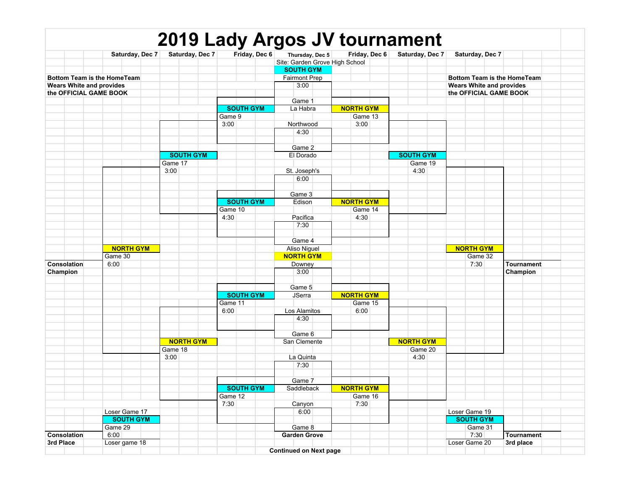|                                 |  |                             |                  |                  |  | 2019 Lady Argos JV tournament  |                  |               |                                 |                             |            |  |
|---------------------------------|--|-----------------------------|------------------|------------------|--|--------------------------------|------------------|---------------|---------------------------------|-----------------------------|------------|--|
|                                 |  | Saturday, Dec 7             | Saturday, Dec 7  | Friday, Dec 6    |  | Thursday, Dec 5                |                  | Friday, Dec 6 | Saturday, Dec 7                 | Saturday, Dec 7             |            |  |
|                                 |  |                             |                  |                  |  | Site: Garden Grove High School |                  |               |                                 |                             |            |  |
|                                 |  |                             |                  |                  |  | <b>SOUTH GYM</b>               |                  |               |                                 |                             |            |  |
|                                 |  | Bottom Team is the HomeTeam |                  |                  |  | <b>Fairmont Prep</b>           |                  |               |                                 | Bottom Team is the HomeTeam |            |  |
| <b>Wears White and provides</b> |  |                             |                  |                  |  | 3:00                           |                  |               | <b>Wears White and provides</b> |                             |            |  |
|                                 |  | the OFFICIAL GAME BOOK      |                  |                  |  |                                |                  |               |                                 | the OFFICIAL GAME BOOK      |            |  |
|                                 |  |                             |                  |                  |  | Game 1                         |                  |               |                                 |                             |            |  |
|                                 |  |                             |                  | <b>SOUTH GYM</b> |  | La Habra                       | <b>NORTH GYM</b> |               |                                 |                             |            |  |
|                                 |  |                             |                  | Game 9           |  |                                |                  | Game 13       |                                 |                             |            |  |
|                                 |  |                             |                  | 3:00             |  | Northwood                      | 3:00             |               |                                 |                             |            |  |
|                                 |  |                             |                  |                  |  | 4:30                           |                  |               |                                 |                             |            |  |
|                                 |  |                             |                  |                  |  |                                |                  |               |                                 |                             |            |  |
|                                 |  |                             |                  |                  |  | Game 2                         |                  |               |                                 |                             |            |  |
|                                 |  |                             | <b>SOUTH GYM</b> |                  |  | El Dorado                      |                  |               | <b>SOUTH GYM</b>                |                             |            |  |
|                                 |  |                             | Game 17          |                  |  |                                |                  |               | Game 19                         |                             |            |  |
|                                 |  |                             | 3:00             |                  |  | St. Joseph's                   |                  |               | 4:30                            |                             |            |  |
|                                 |  |                             |                  |                  |  | 6:00                           |                  |               |                                 |                             |            |  |
|                                 |  |                             |                  |                  |  |                                |                  |               |                                 |                             |            |  |
|                                 |  |                             |                  |                  |  | Game 3                         |                  |               |                                 |                             |            |  |
|                                 |  |                             |                  | <b>SOUTH GYM</b> |  | Edison                         | <b>NORTH GYM</b> |               |                                 |                             |            |  |
|                                 |  |                             |                  | Game 10          |  |                                |                  | Game 14       |                                 |                             |            |  |
|                                 |  |                             |                  | 4:30             |  | Pacifica                       | 4:30             |               |                                 |                             |            |  |
|                                 |  |                             |                  |                  |  | 7:30                           |                  |               |                                 |                             |            |  |
|                                 |  |                             |                  |                  |  |                                |                  |               |                                 |                             |            |  |
|                                 |  |                             |                  |                  |  | Game 4                         |                  |               |                                 |                             |            |  |
|                                 |  | <b>NORTH GYM</b>            |                  |                  |  | Aliso Niguel                   |                  |               |                                 | <b>NORTH GYM</b>            |            |  |
|                                 |  | Game 30                     |                  |                  |  | <b>NORTH GYM</b>               |                  |               |                                 | Game 32                     |            |  |
| Consolation                     |  | 6:00                        |                  |                  |  | Downey                         |                  |               |                                 | 7:30                        | Tournament |  |
| Champion                        |  |                             |                  |                  |  | 3:00                           |                  |               |                                 |                             | Champion   |  |
|                                 |  |                             |                  |                  |  |                                |                  |               |                                 |                             |            |  |
|                                 |  |                             |                  |                  |  | Game 5                         |                  |               |                                 |                             |            |  |
|                                 |  |                             |                  | <b>SOUTH GYM</b> |  | <b>JSerra</b>                  | <b>NORTH GYM</b> |               |                                 |                             |            |  |
|                                 |  |                             |                  | Game 11          |  |                                |                  | Game 15       |                                 |                             |            |  |
|                                 |  |                             |                  | 6:00             |  | Los Alamitos                   | 6:00             |               |                                 |                             |            |  |
|                                 |  |                             |                  |                  |  | 4:30                           |                  |               |                                 |                             |            |  |
|                                 |  |                             |                  |                  |  | Game 6                         |                  |               |                                 |                             |            |  |
|                                 |  |                             | <b>NORTH GYM</b> |                  |  | San Clemente                   |                  |               | <b>NORTH GYM</b>                |                             |            |  |
|                                 |  |                             | Game 18          |                  |  |                                |                  |               | Game 20                         |                             |            |  |
|                                 |  |                             | 3:00             |                  |  | La Quinta                      |                  |               | 4:30                            |                             |            |  |
|                                 |  |                             |                  |                  |  | 7:30                           |                  |               |                                 |                             |            |  |
|                                 |  |                             |                  |                  |  |                                |                  |               |                                 |                             |            |  |
|                                 |  |                             |                  |                  |  | Game 7                         |                  |               |                                 |                             |            |  |
|                                 |  |                             |                  | <b>SOUTH GYM</b> |  | Saddleback                     | <b>NORTH GYM</b> |               |                                 |                             |            |  |
|                                 |  |                             |                  | Game 12          |  |                                |                  | Game 16       |                                 |                             |            |  |
|                                 |  |                             |                  | 7:30             |  | Canyon                         | 7:30             |               |                                 |                             |            |  |
|                                 |  | Loser Game 17               |                  |                  |  | 6:00                           |                  |               |                                 | Loser Game 19               |            |  |
|                                 |  | <b>SOUTH GYM</b>            |                  |                  |  |                                |                  |               |                                 | <b>SOUTH GYM</b>            |            |  |
|                                 |  | Game 29                     |                  |                  |  | Game 8                         |                  |               |                                 | Game 31                     |            |  |
| Consolation                     |  | 6:00                        |                  |                  |  | <b>Garden Grove</b>            |                  |               |                                 | 7:30                        | Tournament |  |
| 3rd Place                       |  | Loser game 18               |                  |                  |  |                                |                  |               |                                 | Loser Game 20               | 3rd place  |  |
|                                 |  |                             |                  |                  |  | <b>Continued on Next page</b>  |                  |               |                                 |                             |            |  |